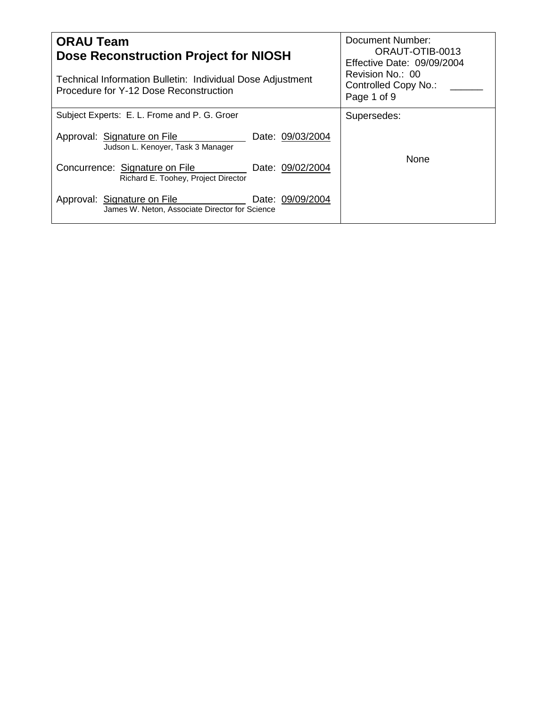| <b>ORAU Team</b><br>Dose Reconstruction Project for NIOSH<br>Technical Information Bulletin: Individual Dose Adjustment<br>Procedure for Y-12 Dose Reconstruction | Document Number:<br>ORAUT-OTIB-0013<br>Effective Date: 09/09/2004<br>Revision No.: 00<br>Controlled Copy No.:<br>Page 1 of 9 |  |  |  |
|-------------------------------------------------------------------------------------------------------------------------------------------------------------------|------------------------------------------------------------------------------------------------------------------------------|--|--|--|
| Subject Experts: E. L. Frome and P. G. Groer                                                                                                                      | Supersedes:                                                                                                                  |  |  |  |
| Date: 09/03/2004<br>Approval: Signature on File<br>Judson L. Kenoyer, Task 3 Manager                                                                              |                                                                                                                              |  |  |  |
| Concurrence: Signature on File<br>Date: 09/02/2004<br>Richard E. Toohey, Project Director                                                                         | <b>None</b>                                                                                                                  |  |  |  |
| Date: 09/09/2004<br>Approval: Signature on File<br>James W. Neton, Associate Director for Science                                                                 |                                                                                                                              |  |  |  |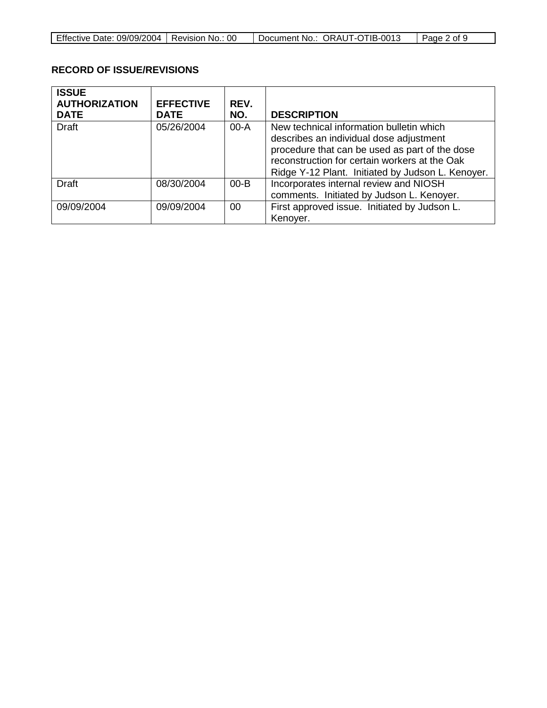| Effective Date: 09/09/2004   Revision No.: 00 | Document No.: ORAUT-OTIB-0013 | Page 2 of 9 |
|-----------------------------------------------|-------------------------------|-------------|

# **RECORD OF ISSUE/REVISIONS**

| <b>ISSUE</b><br><b>AUTHORIZATION</b><br><b>DATE</b> | <b>EFFECTIVE</b><br><b>DATE</b> | REV.<br>NO. | <b>DESCRIPTION</b>                                                                                                                                                                                                                          |
|-----------------------------------------------------|---------------------------------|-------------|---------------------------------------------------------------------------------------------------------------------------------------------------------------------------------------------------------------------------------------------|
| <b>Draft</b>                                        | 05/26/2004                      | $00-A$      | New technical information bulletin which<br>describes an individual dose adjustment<br>procedure that can be used as part of the dose<br>reconstruction for certain workers at the Oak<br>Ridge Y-12 Plant. Initiated by Judson L. Kenoyer. |
| <b>Draft</b>                                        | 08/30/2004                      | $00 - B$    | Incorporates internal review and NIOSH<br>comments. Initiated by Judson L. Kenoyer.                                                                                                                                                         |
| 09/09/2004                                          | 09/09/2004                      | 00          | First approved issue. Initiated by Judson L.<br>Kenoyer.                                                                                                                                                                                    |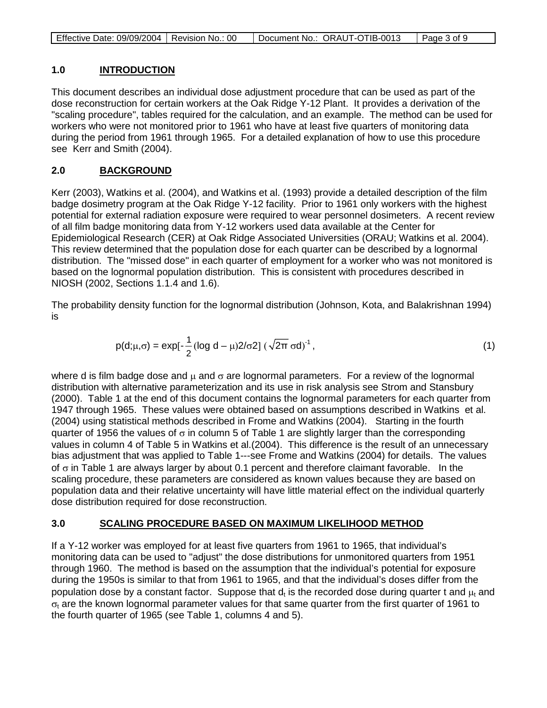### **1.0 INTRODUCTION**

This document describes an individual dose adjustment procedure that can be used as part of the dose reconstruction for certain workers at the Oak Ridge Y-12 Plant. It provides a derivation of the "scaling procedure", tables required for the calculation, and an example. The method can be used for workers who were not monitored prior to 1961 who have at least five quarters of monitoring data during the period from 1961 through 1965. For a detailed explanation of how to use this procedure see Kerr and Smith (2004).

### **2.0 BACKGROUND**

Kerr (2003), Watkins et al. (2004), and Watkins et al. (1993) provide a detailed description of the film badge dosimetry program at the Oak Ridge Y-12 facility. Prior to 1961 only workers with the highest potential for external radiation exposure were required to wear personnel dosimeters. A recent review of all film badge monitoring data from Y-12 workers used data available at the Center for Epidemiological Research (CER) at Oak Ridge Associated Universities (ORAU; Watkins et al. 2004). This review determined that the population dose for each quarter can be described by a lognormal distribution. The "missed dose" in each quarter of employment for a worker who was not monitored is based on the lognormal population distribution. This is consistent with procedures described in NIOSH (2002, Sections 1.1.4 and 1.6).

The probability density function for the lognormal distribution (Johnson, Kota, and Balakrishnan 1994) is

$$
p(d; \mu, \sigma) = exp[-\frac{1}{2} (log d - \mu) 2/\sigma 2] (\sqrt{2\pi} \sigma d)^{-1},
$$
\n(1)

where d is film badge dose and  $\mu$  and  $\sigma$  are lognormal parameters. For a review of the lognormal distribution with alternative parameterization and its use in risk analysis see Strom and Stansbury (2000). Table 1 at the end of this document contains the lognormal parameters for each quarter from 1947 through 1965. These values were obtained based on assumptions described in Watkins et al. (2004) using statistical methods described in Frome and Watkins (2004). Starting in the fourth quarter of 1956 the values of  $\sigma$  in column 5 of Table 1 are slightly larger than the corresponding values in column 4 of Table 5 in Watkins et al.(2004). This difference is the result of an unnecessary bias adjustment that was applied to Table 1---see Frome and Watkins (2004) for details. The values of  $\sigma$  in Table 1 are always larger by about 0.1 percent and therefore claimant favorable. In the scaling procedure, these parameters are considered as known values because they are based on population data and their relative uncertainty will have little material effect on the individual quarterly dose distribution required for dose reconstruction.

#### **3.0 SCALING PROCEDURE BASED ON MAXIMUM LIKELIHOOD METHOD**

If a Y-12 worker was employed for at least five quarters from 1961 to 1965, that individual's monitoring data can be used to "adjust" the dose distributions for unmonitored quarters from 1951 through 1960. The method is based on the assumption that the individual's potential for exposure during the 1950s is similar to that from 1961 to 1965, and that the individual's doses differ from the population dose by a constant factor. Suppose that  $d_t$  is the recorded dose during quarter t and  $\mu_t$  and  $\sigma_t$  are the known lognormal parameter values for that same quarter from the first quarter of 1961 to the fourth quarter of 1965 (see Table 1, columns 4 and 5).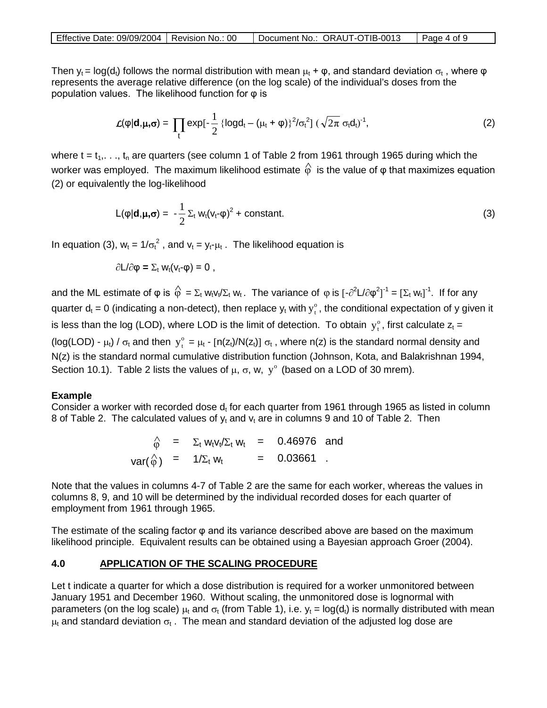| Effective Date: 09/09/2004   Revision No.: 00 |  | Document No.: ORAUT-OTIB-0013 | $\vert$ Page 4 of 9 |
|-----------------------------------------------|--|-------------------------------|---------------------|
|-----------------------------------------------|--|-------------------------------|---------------------|

Then  $y_t = \log(d_t)$  follows the normal distribution with mean  $\mu_t + \varphi$ , and standard deviation  $\sigma_t$ , where  $\varphi$ represents the average relative difference (on the log scale) of the individual's doses from the population values. The likelihood function for φ is

$$
\mathcal{L}(\varphi|\mathbf{d}, \mu, \sigma) = \prod_t \exp[-\frac{1}{2} \left\{ \log d_t - (\mu_t + \varphi) \right\}^2 / \sigma_t^2] \left( \sqrt{2\pi} \sigma_t d_t \right)^{-1}, \tag{2}
$$

where  $t = t_1, \ldots, t_n$  are quarters (see column 1 of Table 2 from 1961 through 1965 during which the worker was employed. The maximum likelihood estimate  $\hat{\varphi}$  is the value of  $\varphi$  that maximizes equation (2) or equivalently the log-likelihood

$$
L(\varphi|\mathbf{d}, \mu, \sigma) = -\frac{1}{2} \Sigma_t w_t (v_t - \varphi)^2 + \text{constant.}
$$
 (3)

In equation (3),  $w_t = 1/\sigma_t^2$ , and  $v_t = y_t - \mu_t$ . The likelihood equation is

$$
\partial L/\partial \phi = \Sigma_t w_t(v_t \neg \phi) = 0 ,
$$

and the ML estimate of  $\phi$  is  $\hat{\phi} = \Sigma_t w_t v_t / \Sigma_t w_t$ . The variance of  $\phi$  is  $[-\partial^2 L/\partial \phi^2]^{-1} = [\Sigma_t w_t]^{-1}$ . If for any quarter  $d_t = 0$  (indicating a non-detect), then replace  $y_t$  with  $y_t^{\circ}$ , the conditional expectation of y given it is less than the log (LOD), where LOD is the limit of detection. To obtain  $y_t^{\circ}$ , first calculate  $z_t =$ (log(LOD) -  $\mu_t$ ) /  $\sigma_t$  and then  $y_t^0 = \mu_t$  - [n(z<sub>t</sub>)/N(z<sub>t</sub>)]  $\sigma_t$ , where n(z) is the standard normal density and N(z) is the standard normal cumulative distribution function (Johnson, Kota, and Balakrishnan 1994, Section 10.1). Table 2 lists the values of  $\mu$ ,  $\sigma$ ,  $w$ ,  $v^{\circ}$  (based on a LOD of 30 mrem).

## **Example**

Consider a worker with recorded dose  $d_t$  for each quarter from 1961 through 1965 as listed in column 8 of Table 2. The calculated values of  $v_t$  and  $v_t$  are in columns 9 and 10 of Table 2. Then

> $\hat{\varphi}$  =  $\Sigma_t w_t v_t / \Sigma_t w_t$  = 0.46976 and  $var(\hat{\phi}) = 1/\Sigma_t w_t = 0.03661$ .

Note that the values in columns 4-7 of Table 2 are the same for each worker, whereas the values in columns 8, 9, and 10 will be determined by the individual recorded doses for each quarter of employment from 1961 through 1965.

The estimate of the scaling factor φ and its variance described above are based on the maximum likelihood principle. Equivalent results can be obtained using a Bayesian approach Groer (2004).

#### **4.0 APPLICATION OF THE SCALING PROCEDURE**

Let t indicate a quarter for which a dose distribution is required for a worker unmonitored between January 1951 and December 1960. Without scaling, the unmonitored dose is lognormal with parameters (on the log scale)  $\mu_t$  and  $\sigma_t$  (from Table 1), i.e.  $y_t = log(d_t)$  is normally distributed with mean  $\mu_t$  and standard deviation  $\sigma_t$ . The mean and standard deviation of the adjusted log dose are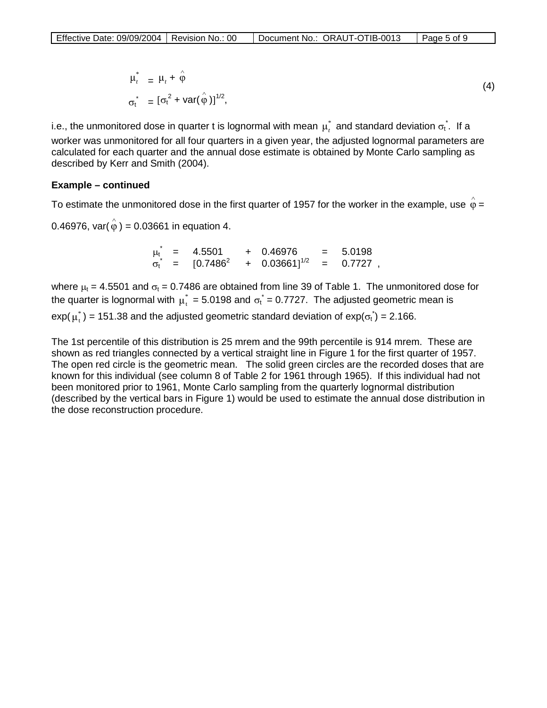$$
\mu_t^* = \mu_t + \hat{\varphi}
$$
  
\n
$$
\sigma_t^* = [\sigma_t^2 + \text{var}(\hat{\varphi})]^{1/2},
$$
\n(4)

i.e., the unmonitored dose in quarter t is lognormal with mean  $\,\mu^*_t\,$  and standard deviation  $\sigma^*_t.\,$  If a worker was unmonitored for all four quarters in a given year, the adjusted lognormal parameters are calculated for each quarter and the annual dose estimate is obtained by Monte Carlo sampling as described by Kerr and Smith (2004).

### **Example – continued**

To estimate the unmonitored dose in the first quarter of 1957 for the worker in the example, use  $\hat{\varphi}$  =

0.46976, var( $\hat{\varphi}$ ) = 0.03661 in equation 4.

 $\mu_{t}^{*}$  = 4.5501 + 0.46976 = 5.0198  $\sigma_t^*$  = [0.7486<sup>2</sup> + 0.03661]<sup>1/2</sup> = 0.7727,

where  $\mu_t$  = 4.5501 and  $\sigma_t$  = 0.7486 are obtained from line 39 of Table 1. The unmonitored dose for the quarter is lognormal with  $\mu^*_t = 5.0198$  and  $\sigma^*_t = 0.7727$ . The adjusted geometric mean is exp( $\mu_t^*$ ) = 151.38 and the adjusted geometric standard deviation of exp( $\sigma_t^*$ ) = 2.166.

The 1st percentile of this distribution is 25 mrem and the 99th percentile is 914 mrem. These are shown as red triangles connected by a vertical straight line in Figure 1 for the first quarter of 1957. The open red circle is the geometric mean. The solid green circles are the recorded doses that are known for this individual (see column 8 of Table 2 for 1961 through 1965). If this individual had not been monitored prior to 1961, Monte Carlo sampling from the quarterly lognormal distribution (described by the vertical bars in Figure 1) would be used to estimate the annual dose distribution in the dose reconstruction procedure.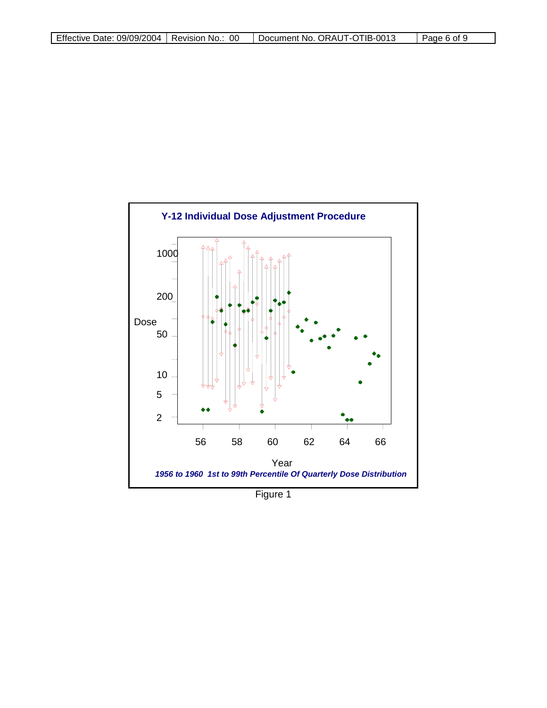

Figure 1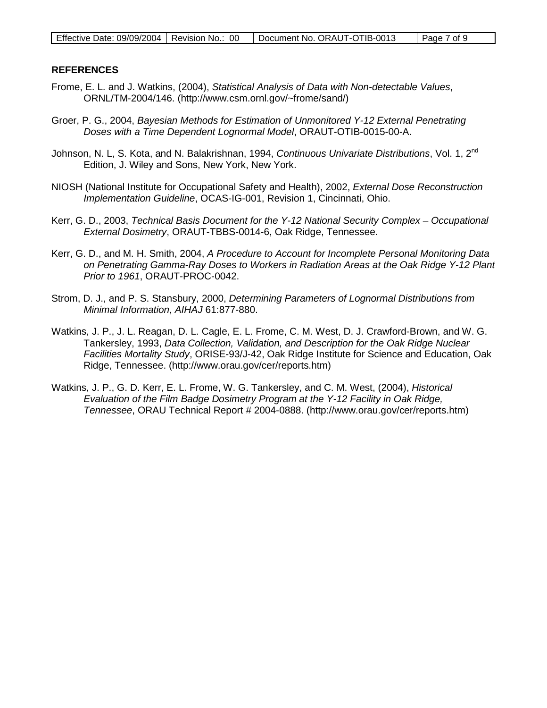### **REFERENCES**

- Frome, E. L. and J. Watkins, (2004), *Statistical Analysis of Data with Non-detectable Values*, ORNL/TM-2004/146. (http://www.csm.ornl.gov/~frome/sand/)
- Groer, P. G., 2004, *Bayesian Methods for Estimation of Unmonitored Y-12 External Penetrating Doses with a Time Dependent Lognormal Model*, ORAUT-OTIB-0015-00-A.
- Johnson, N. L, S. Kota, and N. Balakrishnan, 1994, *Continuous Univariate Distributions*, Vol. 1, 2nd Edition, J. Wiley and Sons, New York, New York.
- NIOSH (National Institute for Occupational Safety and Health), 2002, *External Dose Reconstruction Implementation Guideline*, OCAS-IG-001, Revision 1, Cincinnati, Ohio.
- Kerr, G. D., 2003, *Technical Basis Document for the Y-12 National Security Complex – Occupational External Dosimetry*, ORAUT-TBBS-0014-6, Oak Ridge, Tennessee.
- Kerr, G. D., and M. H. Smith, 2004, *A Procedure to Account for Incomplete Personal Monitoring Data on Penetrating Gamma-Ray Doses to Workers in Radiation Areas at the Oak Ridge Y-12 Plant Prior to 1961*, ORAUT-PROC-0042.
- Strom, D. J., and P. S. Stansbury, 2000, *Determining Parameters of Lognormal Distributions from Minimal Information*, *AIHAJ* 61:877-880.
- Watkins, J. P., J. L. Reagan, D. L. Cagle, E. L. Frome, C. M. West, D. J. Crawford-Brown, and W. G. Tankersley, 1993, *Data Collection, Validation, and Description for the Oak Ridge Nuclear Facilities Mortality Study*, ORISE-93/J-42, Oak Ridge Institute for Science and Education, Oak Ridge, Tennessee. (http://www.orau.gov/cer/reports.htm)
- Watkins, J. P., G. D. Kerr, E. L. Frome, W. G. Tankersley, and C. M. West, (2004), *Historical Evaluation of the Film Badge Dosimetry Program at the Y-12 Facility in Oak Ridge, Tennessee*, ORAU Technical Report # 2004-0888. (http://www.orau.gov/cer/reports.htm)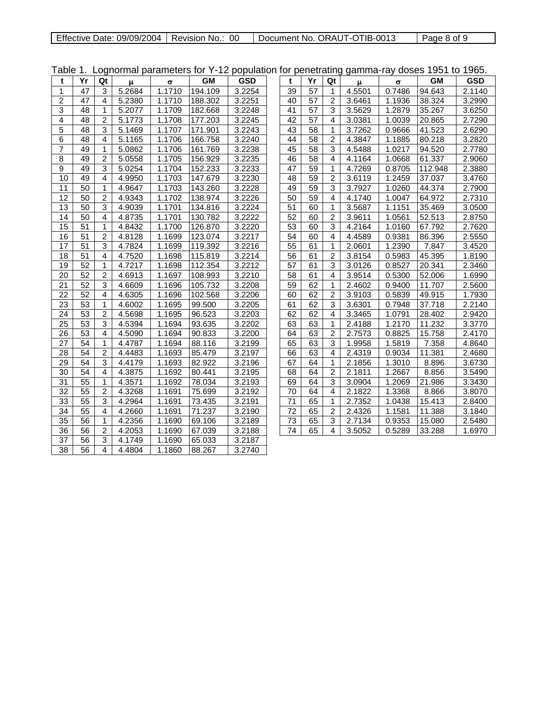| Effective Date: 09/09/2004   Revision No.: 00 |  | Document No. ORAUT-OTIB-0013 | Page 8 of 9 |
|-----------------------------------------------|--|------------------------------|-------------|
|-----------------------------------------------|--|------------------------------|-------------|

| Table 1.        |                 |                |                     |          |           | Lognormal parameters for Y-12 population for penetrating gamma-ray doses 1951 to 1965. |    |                 |                |        |          |           |            |
|-----------------|-----------------|----------------|---------------------|----------|-----------|----------------------------------------------------------------------------------------|----|-----------------|----------------|--------|----------|-----------|------------|
| t               | Yr              | Qt             | $\mu$               | $\sigma$ | <b>GM</b> | <b>GSD</b>                                                                             | t  | Yr              | Qt             | $\mu$  | $\sigma$ | <b>GM</b> | <b>GSD</b> |
| $\mathbf{1}$    | $\overline{47}$ | 3              | $\overline{5.2684}$ | 1.1710   | 194.109   | 3.2254                                                                                 | 39 | $\overline{57}$ | $\mathbf{1}$   | 4.5501 | 0.7486   | 94.643    | 2.1140     |
| $\overline{2}$  | 47              | 4              | 5.2380              | 1.1710   | 188.302   | 3.2251                                                                                 | 40 | 57              | $\overline{2}$ | 3.6461 | 1.1936   | 38.324    | 3.2990     |
| 3               | 48              | $\mathbf 1$    | $\overline{5.2077}$ | 1.1709   | 182.668   | 3.2248                                                                                 | 41 | $\overline{57}$ | 3              | 3.5629 | 1.2879   | 35.267    | 3.6250     |
| $\overline{4}$  | $\overline{48}$ | $\overline{2}$ | 5.1773              | 1.1708   | 177.203   | 3.2245                                                                                 | 42 | $\overline{57}$ | 4              | 3.0381 | 1.0039   | 20.865    | 2.7290     |
| 5               | 48              | 3              | 5.1469              | 1.1707   | 171.901   | 3.2243                                                                                 | 43 | 58              | $\mathbf{1}$   | 3.7262 | 0.9666   | 41.523    | 2.6290     |
| 6               | 48              | $\overline{4}$ | 5.1165              | 1.1706   | 166.758   | 3.2240                                                                                 | 44 | 58              | $\overline{2}$ | 4.3847 | 1.1885   | 80.218    | 3.2820     |
| $\overline{7}$  | 49              | $\mathbf{1}$   | 5.0862              | 1.1706   | 161.769   | 3.2238                                                                                 | 45 | 58              | 3              | 4.5488 | 1.0217   | 94.520    | 2.7780     |
| 8               | 49              | $\overline{2}$ | 5.0558              | 1.1705   | 156.929   | 3.2235                                                                                 | 46 | 58              | $\overline{4}$ | 4.1164 | 1.0668   | 61.337    | 2.9060     |
| 9               | 49              | 3              | 5.0254              | 1.1704   | 152.233   | 3.2233                                                                                 | 47 | 59              | $\mathbf{1}$   | 4.7269 | 0.8705   | 112.948   | 2.3880     |
| 10              | 49              | $\overline{4}$ | 4.9950              | 1.1703   | 147.679   | 3.2230                                                                                 | 48 | 59              | $\overline{2}$ | 3.6119 | 1.2459   | 37.037    | 3.4760     |
| 11              | 50              | $\mathbf{1}$   | 4.9647              | 1.1703   | 143.260   | 3.2228                                                                                 | 49 | 59              | 3              | 3.7927 | 1.0260   | 44.374    | 2.7900     |
| 12              | 50              | $\overline{c}$ | 4.9343              | 1.1702   | 138.974   | 3.2226                                                                                 | 50 | 59              | 4              | 4.1740 | 1.0047   | 64.972    | 2.7310     |
| 13              | 50              | 3              | 4.9039              | 1.1701   | 134.816   | 3.2224                                                                                 | 51 | 60              | $\mathbf{1}$   | 3.5687 | 1.1151   | 35.469    | 3.0500     |
| 14              | 50              | $\overline{4}$ | 4.8735              | 1.1701   | 130.782   | 3.2222                                                                                 | 52 | 60              | $\overline{2}$ | 3.9611 | 1.0561   | 52.513    | 2.8750     |
| 15              | 51              | $\mathbf 1$    | 4.8432              | 1.1700   | 126.870   | 3.2220                                                                                 | 53 | 60              | 3              | 4.2164 | 1.0160   | 67.792    | 2.7620     |
| 16              | $\overline{51}$ | $\overline{c}$ | 4.8128              | 1.1699   | 123.074   | 3.2217                                                                                 | 54 | 60              | 4              | 4.4589 | 0.9381   | 86.396    | 2.5550     |
| 17              | 51              | 3              | 4.7824              | 1.1699   | 119.392   | 3.2216                                                                                 | 55 | 61              | $\mathbf{1}$   | 2.0601 | 1.2390   | 7.847     | 3.4520     |
| 18              | $\overline{51}$ | 4              | 4.7520              | 1.1698   | 115.819   | 3.2214                                                                                 | 56 | 61              | $\overline{2}$ | 3.8154 | 0.5983   | 45.395    | 1.8190     |
| 19              | $\overline{52}$ | $\mathbf{1}$   | 4.7217              | 1.1698   | 112.354   | 3.2212                                                                                 | 57 | 61              | 3              | 3.0126 | 0.8527   | 20.341    | 2.3460     |
| 20              | 52              | $\overline{2}$ | $\overline{4.6913}$ | 1.1697   | 108.993   | 3.2210                                                                                 | 58 | 61              | 4              | 3.9514 | 0.5300   | 52.006    | 1.6990     |
| 21              | $\overline{52}$ | 3              | 4.6609              | 1.1696   | 105.732   | 3.2208                                                                                 | 59 | 62              | $\mathbf{1}$   | 2.4602 | 0.9400   | 11.707    | 2.5600     |
| 22              | $\overline{52}$ | $\overline{4}$ | 4.6305              | 1.1696   | 102.568   | 3.2206                                                                                 | 60 | 62              | $\overline{2}$ | 3.9103 | 0.5839   | 49.915    | 1.7930     |
| 23              | 53              | $\mathbf{1}$   | 4.6002              | 1.1695   | 99.500    | 3.2205                                                                                 | 61 | 62              | 3              | 3.6301 | 0.7948   | 37.718    | 2.2140     |
| 24              | $\overline{53}$ | $\overline{2}$ | 4.5698              | 1.1695   | 96.523    | 3.2203                                                                                 | 62 | 62              | $\overline{4}$ | 3.3465 | 1.0791   | 28.402    | 2.9420     |
| 25              | 53              | 3              | 4.5394              | 1.1694   | 93.635    | 3.2202                                                                                 | 63 | 63              | $\mathbf{1}$   | 2.4188 | 1.2170   | 11.232    | 3.3770     |
| 26              | 53              | 4              | 4.5090              | 1.1694   | 90.833    | 3.2200                                                                                 | 64 | 63              | $\overline{c}$ | 2.7573 | 0.8825   | 15.758    | 2.4170     |
| 27              | 54              | $\mathbf 1$    | 4.4787              | 1.1694   | 88.116    | 3.2199                                                                                 | 65 | 63              | 3              | 1.9958 | 1.5819   | 7.358     | 4.8640     |
| 28              | $\overline{54}$ | $\overline{2}$ | 4.4483              | 1.1693   | 85.479    | 3.2197                                                                                 | 66 | 63              | $\overline{4}$ | 2.4319 | 0.9034   | 11.381    | 2.4680     |
| 29              | 54              | 3              | 4.4179              | 1.1693   | 82.922    | 3.2196                                                                                 | 67 | 64              | $\mathbf{1}$   | 2.1856 | 1.3010   | 8.896     | 3.6730     |
| 30              | 54              | $\overline{4}$ | 4.3875              | 1.1692   | 80.441    | 3.2195                                                                                 | 68 | 64              | $\overline{2}$ | 2.1811 | 1.2667   | 8.856     | 3.5490     |
| 31              | $\overline{55}$ | $\mathbf{1}$   | 4.3571              | 1.1692   | 78.034    | 3.2193                                                                                 | 69 | 64              | 3              | 3.0904 | 1.2069   | 21.986    | 3.3430     |
| 32              | 55              | $\overline{c}$ | 4.3268              | 1.1691   | 75.699    | 3.2192                                                                                 | 70 | 64              | 4              | 2.1822 | 1.3368   | 8.866     | 3.8070     |
| 33              | 55              | 3              | 4.2964              | 1.1691   | 73.435    | 3.2191                                                                                 | 71 | 65              | $\mathbf{1}$   | 2.7352 | 1.0438   | 15.413    | 2.8400     |
| 34              | 55              | $\overline{4}$ | 4.2660              | 1.1691   | 71.237    | 3.2190                                                                                 | 72 | 65              | 2              | 2.4326 | 1.1581   | 11.388    | 3.1840     |
| 35              | 56              | 1              | 4.2356              | 1.1690   | 69.106    | 3.2189                                                                                 | 73 | 65              | 3              | 2.7134 | 0.9353   | 15.080    | 2.5480     |
| 36              | 56              | $\overline{c}$ | 4.2053              | 1.1690   | 67.039    | 3.2188                                                                                 | 74 | 65              | 4              | 3.5052 | 0.5289   | 33.288    | 1.6970     |
| 37              | 56              | 3              | 4.1749              | 1.1690   | 65.033    | 3.2187                                                                                 |    |                 |                |        |          |           |            |
| $\overline{38}$ | $\overline{56}$ | $\overline{4}$ | 4.4804              | 1.1860   | 88.267    | 3.2740                                                                                 |    |                 |                |        |          |           |            |

Table 1. Lognormal parameters for Y-12 population for penetrating gamma-ray doses 1951 to 1965.